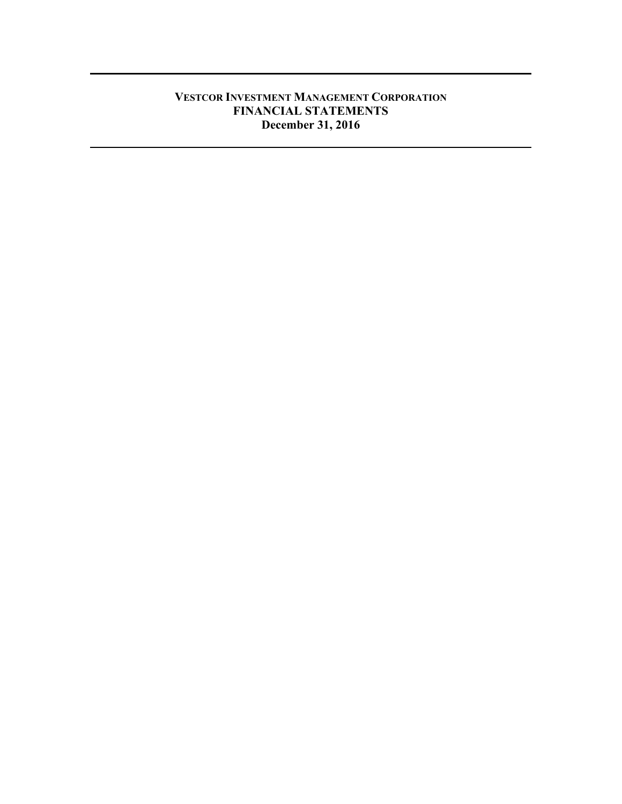# **VESTCOR INVESTMENT MANAGEMENT CORPORATION FINANCIAL STATEMENTS December 31, 2016**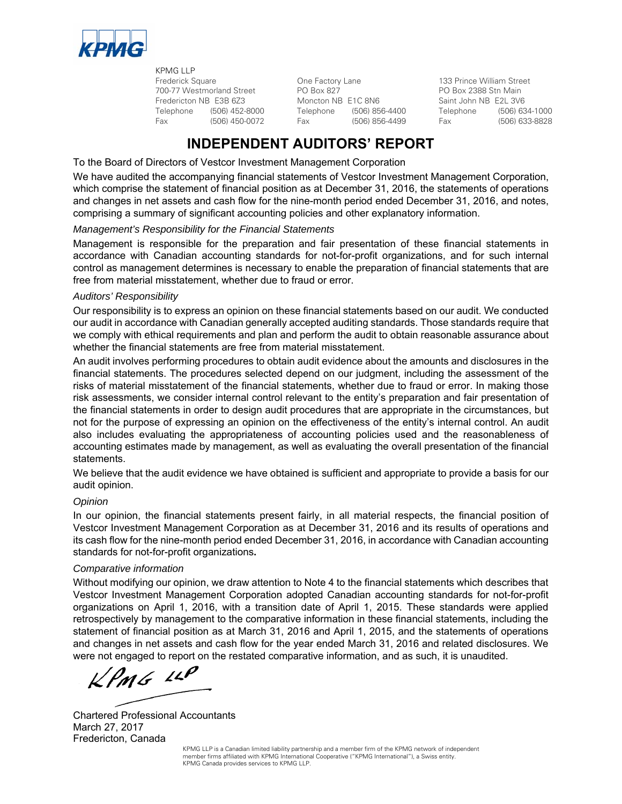

KPMG LLP Frederick Square One Factory Lane 133 Prince William Street 700-77 Westmorland Street PO Box 827 PO Box 2388 Stn Main Fredericton NB E3B 6Z3 Moncton NB E1C 8N6 Saint John NB E2L 3V6

Telephone (506) 452-8000 Telephone (506) 856-4400 Telephone (506) 634-1000 Fax (506) 450-0072 Fax (506) 856-4499 Fax (506) 633-8828

# **INDEPENDENT AUDITORS' REPORT**

To the Board of Directors of Vestcor Investment Management Corporation

We have audited the accompanying financial statements of Vestcor Investment Management Corporation, which comprise the statement of financial position as at December 31, 2016, the statements of operations and changes in net assets and cash flow for the nine-month period ended December 31, 2016, and notes, comprising a summary of significant accounting policies and other explanatory information.

## *Management's Responsibility for the Financial Statements*

Management is responsible for the preparation and fair presentation of these financial statements in accordance with Canadian accounting standards for not-for-profit organizations, and for such internal control as management determines is necessary to enable the preparation of financial statements that are free from material misstatement, whether due to fraud or error.

## *Auditors' Responsibility*

Our responsibility is to express an opinion on these financial statements based on our audit. We conducted our audit in accordance with Canadian generally accepted auditing standards. Those standards require that we comply with ethical requirements and plan and perform the audit to obtain reasonable assurance about whether the financial statements are free from material misstatement.

An audit involves performing procedures to obtain audit evidence about the amounts and disclosures in the financial statements. The procedures selected depend on our judgment, including the assessment of the risks of material misstatement of the financial statements, whether due to fraud or error. In making those risk assessments, we consider internal control relevant to the entity's preparation and fair presentation of the financial statements in order to design audit procedures that are appropriate in the circumstances, but not for the purpose of expressing an opinion on the effectiveness of the entity's internal control. An audit also includes evaluating the appropriateness of accounting policies used and the reasonableness of accounting estimates made by management, as well as evaluating the overall presentation of the financial statements.

We believe that the audit evidence we have obtained is sufficient and appropriate to provide a basis for our audit opinion.

## *Opinion*

In our opinion, the financial statements present fairly, in all material respects, the financial position of Vestcor Investment Management Corporation as at December 31, 2016 and its results of operations and its cash flow for the nine-month period ended December 31, 2016, in accordance with Canadian accounting standards for not-for-profit organizations**.** 

## *Comparative information*

Without modifying our opinion, we draw attention to Note 4 to the financial statements which describes that Vestcor Investment Management Corporation adopted Canadian accounting standards for not-for-profit organizations on April 1, 2016, with a transition date of April 1, 2015. These standards were applied retrospectively by management to the comparative information in these financial statements, including the statement of financial position as at March 31, 2016 and April 1, 2015, and the statements of operations and changes in net assets and cash flow for the year ended March 31, 2016 and related disclosures. We were not engaged to report on the restated comparative information, and as such, it is unaudited.

 $KPMG$  11P

Chartered Professional Accountants March 27, 2017 Fredericton, Canada

KPMG LLP is a Canadian limited liability partnership and a member firm of the KPMG network of independent member firms affiliated with KPMG International Cooperative ("KPMG International"), a Swiss entity. KPMG Canada provides services to KPMG LLP.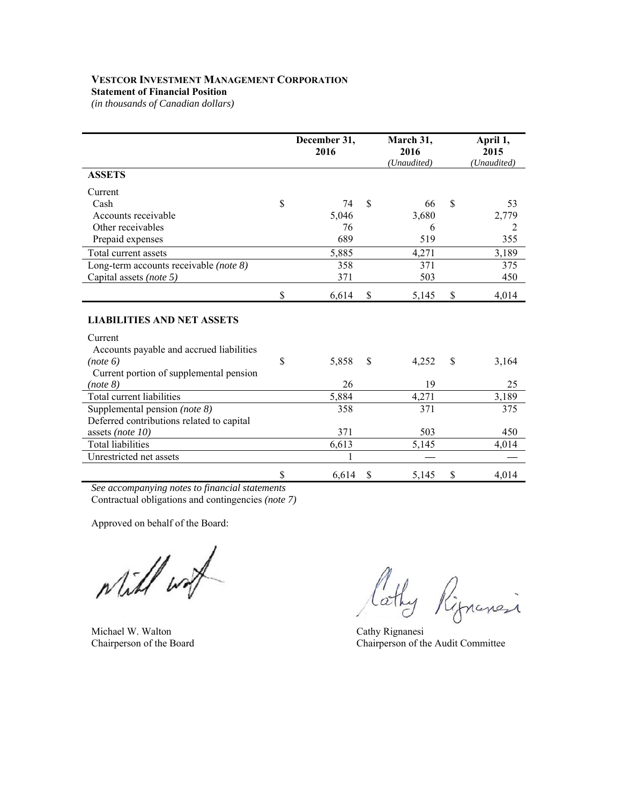## **VESTCOR INVESTMENT MANAGEMENT CORPORATION**

## **Statement of Financial Position**

*(in thousands of Canadian dollars)* 

|                                           | December 31,<br>2016 |               | March 31,<br>2016<br>(Unaudited) | April 1,<br>2015<br>(Unaudited) |
|-------------------------------------------|----------------------|---------------|----------------------------------|---------------------------------|
| <b>ASSETS</b>                             |                      |               |                                  |                                 |
| Current                                   |                      |               |                                  |                                 |
| Cash                                      | \$<br>74             | \$            | 66                               | \$<br>53                        |
| Accounts receivable                       | 5,046                |               | 3,680                            | 2,779                           |
| Other receivables                         | 76                   |               | 6                                | 2                               |
| Prepaid expenses                          | 689                  |               | 519                              | 355                             |
| Total current assets                      | 5,885                |               | 4,271                            | 3,189                           |
| Long-term accounts receivable (note 8)    | 358                  |               | 371                              | 375                             |
| Capital assets (note 5)                   | 371                  |               | 503                              | 450                             |
|                                           | \$<br>6,614          | \$            | 5,145                            | \$<br>4,014                     |
| <b>LIABILITIES AND NET ASSETS</b>         |                      |               |                                  |                                 |
| Current                                   |                      |               |                                  |                                 |
| Accounts payable and accrued liabilities  |                      |               |                                  |                                 |
| (note 6)                                  | \$<br>5,858          | $\mathcal{S}$ | 4,252                            | \$<br>3,164                     |
| Current portion of supplemental pension   |                      |               |                                  |                                 |
| (note 8)                                  | 26                   |               | 19                               | 25                              |
| Total current liabilities                 | 5,884                |               | 4,271                            | 3,189                           |
| Supplemental pension (note 8)             | 358                  |               | 371                              | 375                             |
| Deferred contributions related to capital |                      |               |                                  |                                 |
| assets (note $10$ )                       | 371                  |               | 503                              | 450                             |
| <b>Total liabilities</b>                  | 6,613                |               | 5,145                            | 4,014                           |
| Unrestricted net assets                   |                      |               |                                  |                                 |
|                                           | \$<br>6,614          | \$            | 5,145                            | \$<br>4,014                     |

*See accompanying notes to financial statements*  Contractual obligations and contingencies *(note 7)*

Approved on behalf of the Board:

while wat

Michael W. Walton Cathy Rignanesi<br>
Cathy Rignanesi<br>
Chairperson of the Board Chairperson of the Chairperson of the Chairperson of the Chairperson of the Chairperson of the Chairperson of the Chairperson of the Chairperson

Cathy Rignancia

Chairperson of the Audit Committee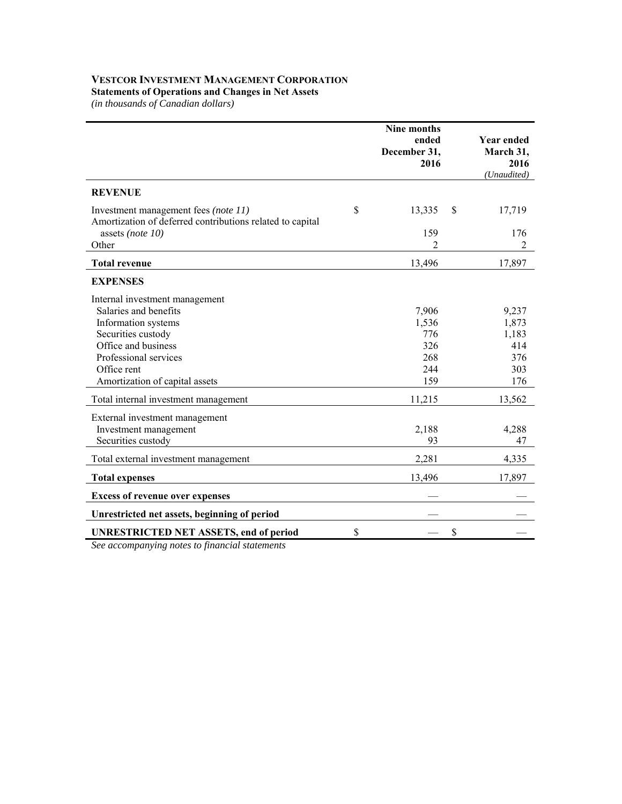#### **VESTCOR INVESTMENT MANAGEMENT CORPORATION Statements of Operations and Changes in Net Assets**

*(in thousands of Canadian dollars)* 

|                                                                                                   | Nine months<br>ended<br>December 31,<br>2016 |               | <b>Year ended</b><br>March 31,<br>2016<br>(Unaudited) |
|---------------------------------------------------------------------------------------------------|----------------------------------------------|---------------|-------------------------------------------------------|
| <b>REVENUE</b>                                                                                    |                                              |               |                                                       |
| Investment management fees (note 11)<br>Amortization of deferred contributions related to capital | \$<br>13,335                                 | \$            | 17,719                                                |
| assets (note $10$ )                                                                               | 159                                          |               | 176                                                   |
| Other                                                                                             | 2                                            |               | 2                                                     |
| <b>Total revenue</b>                                                                              | 13,496                                       |               | 17,897                                                |
| <b>EXPENSES</b>                                                                                   |                                              |               |                                                       |
| Internal investment management                                                                    |                                              |               |                                                       |
| Salaries and benefits                                                                             | 7,906                                        |               | 9,237                                                 |
| Information systems                                                                               | 1,536                                        |               | 1,873                                                 |
| Securities custody                                                                                | 776                                          |               | 1,183                                                 |
| Office and business                                                                               | 326                                          |               | 414                                                   |
| Professional services                                                                             | 268                                          |               | 376                                                   |
| Office rent                                                                                       | 244                                          |               | 303                                                   |
| Amortization of capital assets                                                                    | 159                                          |               | 176                                                   |
| Total internal investment management                                                              | 11,215                                       |               | 13,562                                                |
| External investment management                                                                    |                                              |               |                                                       |
| Investment management                                                                             | 2,188                                        |               | 4,288                                                 |
| Securities custody                                                                                | 93                                           |               | 47                                                    |
| Total external investment management                                                              | 2,281                                        |               | 4,335                                                 |
| <b>Total expenses</b>                                                                             | 13,496                                       |               | 17,897                                                |
| <b>Excess of revenue over expenses</b>                                                            |                                              |               |                                                       |
| Unrestricted net assets, beginning of period                                                      |                                              |               |                                                       |
| <b>UNRESTRICTED NET ASSETS, end of period</b>                                                     | \$                                           | $\mathcal{S}$ |                                                       |

*See accompanying notes to financial statements*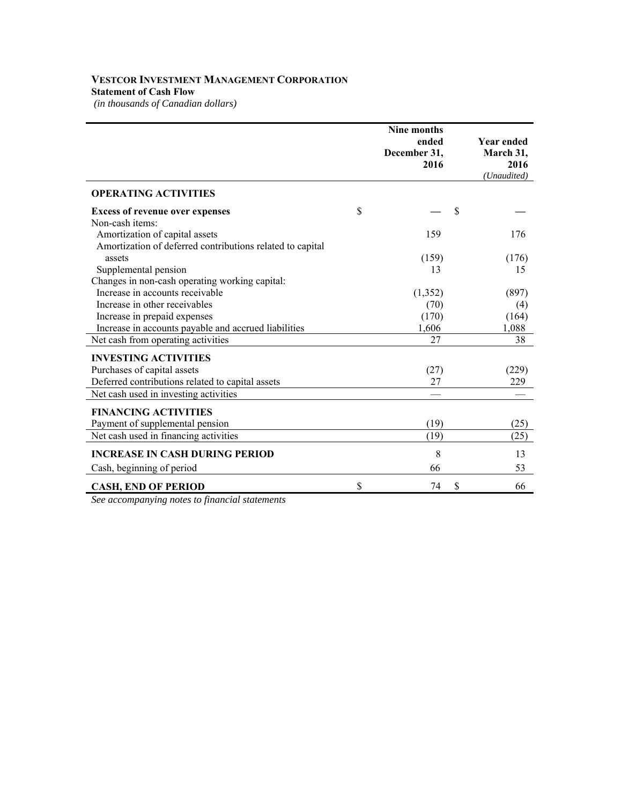## **VESTCOR INVESTMENT MANAGEMENT CORPORATION Statement of Cash Flow**

*(in thousands of Canadian dollars)* 

|                                                           | Nine months<br>ended<br>December 31,<br>2016 | <b>Year ended</b><br>March 31,<br>2016<br>(Unaudited) |
|-----------------------------------------------------------|----------------------------------------------|-------------------------------------------------------|
| <b>OPERATING ACTIVITIES</b>                               |                                              |                                                       |
| <b>Excess of revenue over expenses</b>                    | \$                                           | \$                                                    |
| Non-cash items:                                           |                                              |                                                       |
| Amortization of capital assets                            | 159                                          | 176                                                   |
| Amortization of deferred contributions related to capital |                                              |                                                       |
| assets                                                    | (159)                                        | (176)                                                 |
| Supplemental pension                                      | 13                                           | 15                                                    |
| Changes in non-cash operating working capital:            |                                              |                                                       |
| Increase in accounts receivable                           | (1,352)                                      | (897)                                                 |
| Increase in other receivables                             | (70)                                         | (4)                                                   |
| Increase in prepaid expenses                              | (170)                                        | (164)                                                 |
| Increase in accounts payable and accrued liabilities      | 1,606                                        | 1,088                                                 |
| Net cash from operating activities                        | 27                                           | 38                                                    |
| <b>INVESTING ACTIVITIES</b>                               |                                              |                                                       |
| Purchases of capital assets                               | (27)                                         | (229)                                                 |
| Deferred contributions related to capital assets          | 27                                           | 229                                                   |
| Net cash used in investing activities                     |                                              |                                                       |
| <b>FINANCING ACTIVITIES</b>                               |                                              |                                                       |
| Payment of supplemental pension                           | (19)                                         | (25)                                                  |
| Net cash used in financing activities                     | (19)                                         | (25)                                                  |
| <b>INCREASE IN CASH DURING PERIOD</b>                     | 8                                            | 13                                                    |
| Cash, beginning of period                                 | 66                                           | 53                                                    |
| <b>CASH, END OF PERIOD</b>                                | \$<br>74                                     | \$<br>66                                              |

*See accompanying notes to financial statements*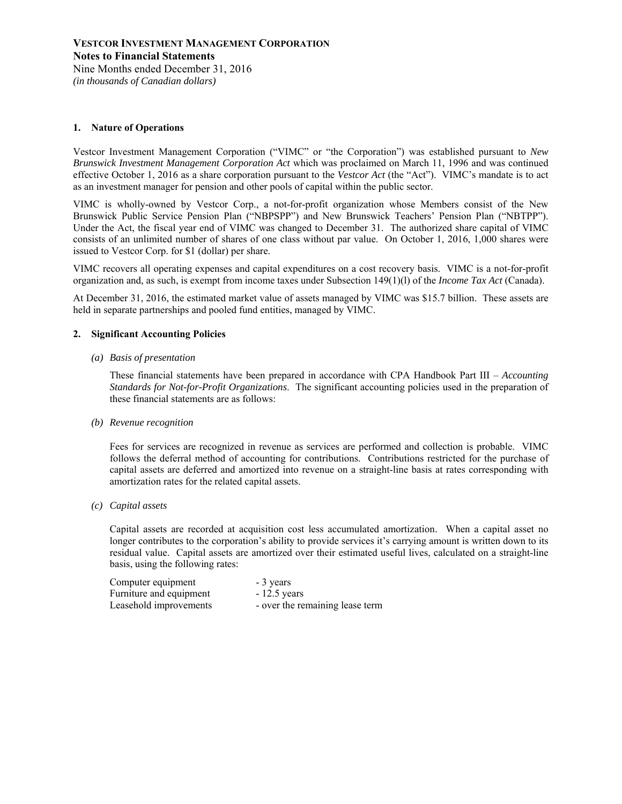*(in thousands of Canadian dollars)* 

#### **1. Nature of Operations**

Vestcor Investment Management Corporation ("VIMC" or "the Corporation") was established pursuant to *New Brunswick Investment Management Corporation Act* which was proclaimed on March 11, 1996 and was continued effective October 1, 2016 as a share corporation pursuant to the *Vestcor Act* (the "Act"). VIMC's mandate is to act as an investment manager for pension and other pools of capital within the public sector.

VIMC is wholly-owned by Vestcor Corp., a not-for-profit organization whose Members consist of the New Brunswick Public Service Pension Plan ("NBPSPP") and New Brunswick Teachers' Pension Plan ("NBTPP"). Under the Act, the fiscal year end of VIMC was changed to December 31. The authorized share capital of VIMC consists of an unlimited number of shares of one class without par value. On October 1, 2016, 1,000 shares were issued to Vestcor Corp. for \$1 (dollar) per share.

VIMC recovers all operating expenses and capital expenditures on a cost recovery basis. VIMC is a not-for-profit organization and, as such, is exempt from income taxes under Subsection 149(1)(l) of the *Income Tax Act* (Canada).

At December 31, 2016, the estimated market value of assets managed by VIMC was \$15.7 billion. These assets are held in separate partnerships and pooled fund entities, managed by VIMC.

#### **2. Significant Accounting Policies**

*(a) Basis of presentation* 

These financial statements have been prepared in accordance with CPA Handbook Part III – *Accounting Standards for Not-for-Profit Organizations*. The significant accounting policies used in the preparation of these financial statements are as follows:

*(b) Revenue recognition* 

Fees for services are recognized in revenue as services are performed and collection is probable. VIMC follows the deferral method of accounting for contributions. Contributions restricted for the purchase of capital assets are deferred and amortized into revenue on a straight-line basis at rates corresponding with amortization rates for the related capital assets.

*(c) Capital assets* 

Capital assets are recorded at acquisition cost less accumulated amortization. When a capital asset no longer contributes to the corporation's ability to provide services it's carrying amount is written down to its residual value. Capital assets are amortized over their estimated useful lives, calculated on a straight-line basis, using the following rates:

| Computer equipment      | - 3 years                       |
|-------------------------|---------------------------------|
| Furniture and equipment | $-12.5$ years                   |
| Leasehold improvements  | - over the remaining lease term |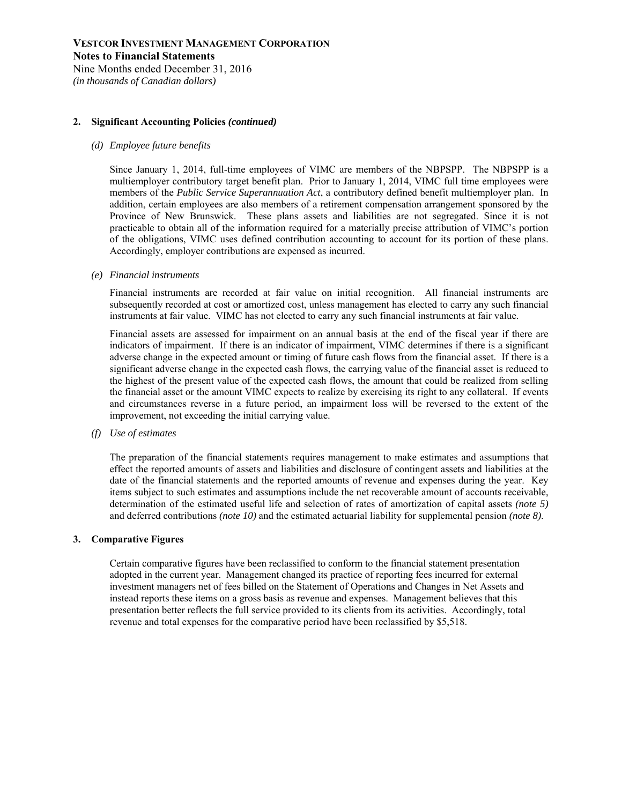Nine Months ended December 31, 2016 *(in thousands of Canadian dollars)* 

#### **2. Significant Accounting Policies** *(continued)*

#### *(d) Employee future benefits*

Since January 1, 2014, full-time employees of VIMC are members of the NBPSPP. The NBPSPP is a multiemployer contributory target benefit plan. Prior to January 1, 2014, VIMC full time employees were members of the *Public Service Superannuation Act*, a contributory defined benefit multiemployer plan. In addition, certain employees are also members of a retirement compensation arrangement sponsored by the Province of New Brunswick. These plans assets and liabilities are not segregated. Since it is not practicable to obtain all of the information required for a materially precise attribution of VIMC's portion of the obligations, VIMC uses defined contribution accounting to account for its portion of these plans. Accordingly, employer contributions are expensed as incurred.

*(e) Financial instruments* 

Financial instruments are recorded at fair value on initial recognition. All financial instruments are subsequently recorded at cost or amortized cost, unless management has elected to carry any such financial instruments at fair value. VIMC has not elected to carry any such financial instruments at fair value.

Financial assets are assessed for impairment on an annual basis at the end of the fiscal year if there are indicators of impairment. If there is an indicator of impairment, VIMC determines if there is a significant adverse change in the expected amount or timing of future cash flows from the financial asset. If there is a significant adverse change in the expected cash flows, the carrying value of the financial asset is reduced to the highest of the present value of the expected cash flows, the amount that could be realized from selling the financial asset or the amount VIMC expects to realize by exercising its right to any collateral. If events and circumstances reverse in a future period, an impairment loss will be reversed to the extent of the improvement, not exceeding the initial carrying value.

*(f) Use of estimates* 

The preparation of the financial statements requires management to make estimates and assumptions that effect the reported amounts of assets and liabilities and disclosure of contingent assets and liabilities at the date of the financial statements and the reported amounts of revenue and expenses during the year. Key items subject to such estimates and assumptions include the net recoverable amount of accounts receivable, determination of the estimated useful life and selection of rates of amortization of capital assets *(note 5)*  and deferred contributions *(note 10)* and the estimated actuarial liability for supplemental pension *(note 8)*.

#### **3. Comparative Figures**

Certain comparative figures have been reclassified to conform to the financial statement presentation adopted in the current year. Management changed its practice of reporting fees incurred for external investment managers net of fees billed on the Statement of Operations and Changes in Net Assets and instead reports these items on a gross basis as revenue and expenses. Management believes that this presentation better reflects the full service provided to its clients from its activities. Accordingly, total revenue and total expenses for the comparative period have been reclassified by \$5,518.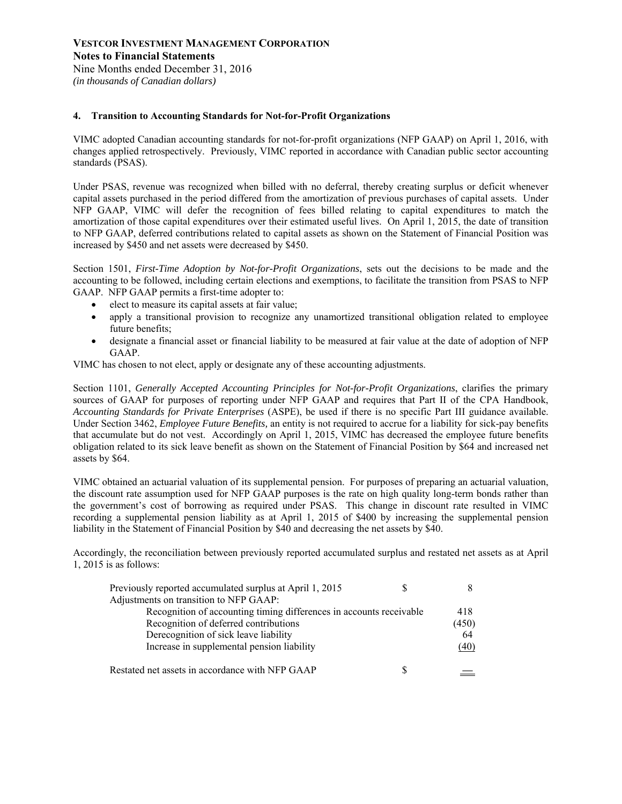#### **4. Transition to Accounting Standards for Not-for-Profit Organizations**

VIMC adopted Canadian accounting standards for not-for-profit organizations (NFP GAAP) on April 1, 2016, with changes applied retrospectively. Previously, VIMC reported in accordance with Canadian public sector accounting standards (PSAS).

Under PSAS, revenue was recognized when billed with no deferral, thereby creating surplus or deficit whenever capital assets purchased in the period differed from the amortization of previous purchases of capital assets. Under NFP GAAP, VIMC will defer the recognition of fees billed relating to capital expenditures to match the amortization of those capital expenditures over their estimated useful lives. On April 1, 2015, the date of transition to NFP GAAP, deferred contributions related to capital assets as shown on the Statement of Financial Position was increased by \$450 and net assets were decreased by \$450.

Section 1501, *First-Time Adoption by Not-for-Profit Organizations*, sets out the decisions to be made and the accounting to be followed, including certain elections and exemptions, to facilitate the transition from PSAS to NFP GAAP. NFP GAAP permits a first-time adopter to:

- elect to measure its capital assets at fair value;
- apply a transitional provision to recognize any unamortized transitional obligation related to employee future benefits;
- designate a financial asset or financial liability to be measured at fair value at the date of adoption of NFP GAAP.

VIMC has chosen to not elect, apply or designate any of these accounting adjustments.

Section 1101, *Generally Accepted Accounting Principles for Not-for-Profit Organizations*, clarifies the primary sources of GAAP for purposes of reporting under NFP GAAP and requires that Part II of the CPA Handbook, *Accounting Standards for Private Enterprises* (ASPE), be used if there is no specific Part III guidance available. Under Section 3462, *Employee Future Benefits,* an entity is not required to accrue for a liability for sick-pay benefits that accumulate but do not vest. Accordingly on April 1, 2015, VIMC has decreased the employee future benefits obligation related to its sick leave benefit as shown on the Statement of Financial Position by \$64 and increased net assets by \$64.

VIMC obtained an actuarial valuation of its supplemental pension. For purposes of preparing an actuarial valuation, the discount rate assumption used for NFP GAAP purposes is the rate on high quality long-term bonds rather than the government's cost of borrowing as required under PSAS. This change in discount rate resulted in VIMC recording a supplemental pension liability as at April 1, 2015 of \$400 by increasing the supplemental pension liability in the Statement of Financial Position by \$40 and decreasing the net assets by \$40.

Accordingly, the reconciliation between previously reported accumulated surplus and restated net assets as at April 1, 2015 is as follows:

| Previously reported accumulated surplus at April 1, 2015            |       |
|---------------------------------------------------------------------|-------|
| Adjustments on transition to NFP GAAP:                              |       |
| Recognition of accounting timing differences in accounts receivable | 418   |
| Recognition of deferred contributions                               | (450) |
| Derecognition of sick leave liability                               | 64    |
| Increase in supplemental pension liability                          | (40)  |
| Restated net assets in accordance with NFP GAAP                     |       |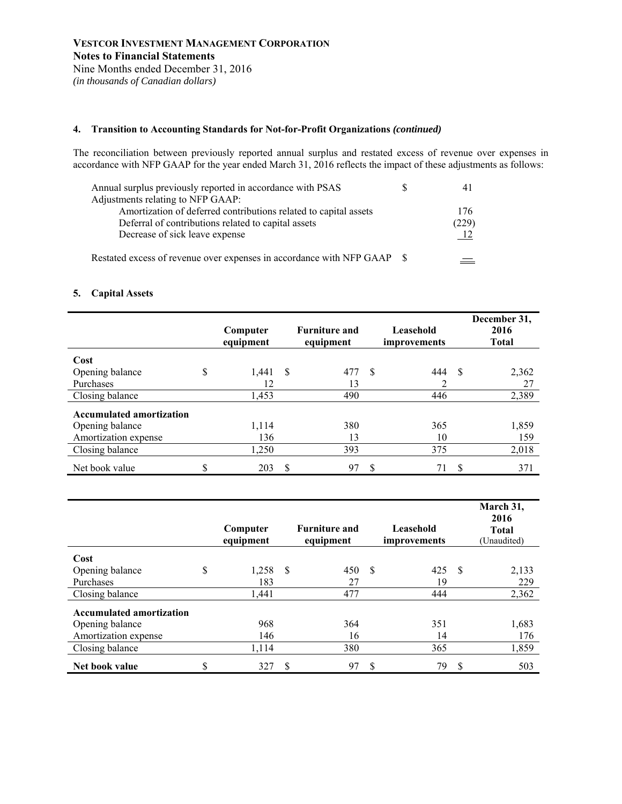## **4. Transition to Accounting Standards for Not-for-Profit Organizations** *(continued)*

The reconciliation between previously reported annual surplus and restated excess of revenue over expenses in accordance with NFP GAAP for the year ended March 31, 2016 reflects the impact of these adjustments as follows:

| Annual surplus previously reported in accordance with PSAS              |       |
|-------------------------------------------------------------------------|-------|
| Adjustments relating to NFP GAAP:                                       |       |
| Amortization of deferred contributions related to capital assets        | 176   |
| Deferral of contributions related to capital assets                     | (229) |
| Decrease of sick leave expense                                          |       |
| Restated excess of revenue over expenses in accordance with NFP GAAP \$ |       |

## **5. Capital Assets**

|                                 |    | Computer<br>equipment |    | <b>Furniture and</b><br>equipment |     | Leasehold<br>improvements |          | December 31,<br>2016<br><b>Total</b> |
|---------------------------------|----|-----------------------|----|-----------------------------------|-----|---------------------------|----------|--------------------------------------|
| Cost                            |    |                       |    |                                   |     |                           |          |                                      |
| Opening balance                 | \$ | 1.441                 | -S | 477                               | -\$ | 444                       | <b>S</b> | 2,362                                |
| Purchases                       |    | 12                    |    | 13                                |     | ↑                         |          | 27                                   |
| Closing balance                 |    | 1,453                 |    | 490                               |     | 446                       |          | 2,389                                |
| <b>Accumulated amortization</b> |    |                       |    |                                   |     |                           |          |                                      |
| Opening balance                 |    | 1,114                 |    | 380                               |     | 365                       |          | 1,859                                |
| Amortization expense            |    | 136                   |    | 13                                |     | 10                        |          | 159                                  |
| Closing balance                 |    | 1,250                 |    | 393                               |     | 375                       |          | 2,018                                |
| Net book value                  | J  | 203                   | S  | 97                                | \$  | 71                        | S        | 371                                  |

|                                 |    | Computer<br>equipment |     | <b>Furniture and</b><br>equipment |               | Leasehold<br>improvements |               | March 31,<br>2016<br><b>Total</b><br>(Unaudited) |
|---------------------------------|----|-----------------------|-----|-----------------------------------|---------------|---------------------------|---------------|--------------------------------------------------|
| Cost                            |    |                       |     |                                   |               |                           |               |                                                  |
| Opening balance                 | \$ | 1,258                 | -\$ | 450                               | <sup>\$</sup> | 425                       | - \$          | 2,133                                            |
| Purchases                       |    | 183                   |     | 27                                |               | 19                        |               | 229                                              |
| Closing balance                 |    | 1,441                 |     | 477                               |               | 444                       |               | 2,362                                            |
| <b>Accumulated amortization</b> |    |                       |     |                                   |               |                           |               |                                                  |
| Opening balance                 |    | 968                   |     | 364                               |               | 351                       |               | 1,683                                            |
| Amortization expense            |    | 146                   |     | 16                                |               | 14                        |               | 176                                              |
| Closing balance                 |    | 1,114                 |     | 380                               |               | 365                       |               | 1,859                                            |
| Net book value                  | ¢  | 327                   | \$  | 97                                | S             | 79                        | <sup>\$</sup> | 503                                              |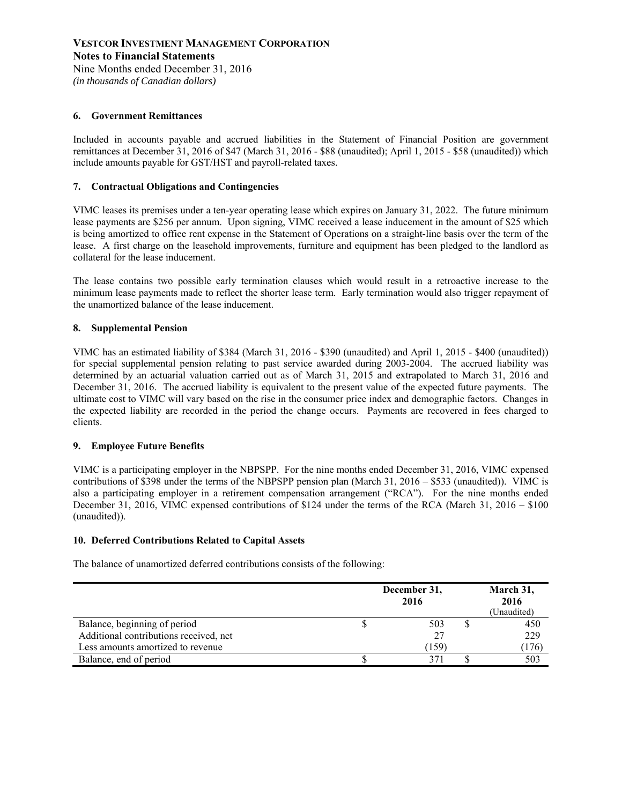*(in thousands of Canadian dollars)* 

#### **6. Government Remittances**

Included in accounts payable and accrued liabilities in the Statement of Financial Position are government remittances at December 31, 2016 of \$47 (March 31, 2016 - \$88 (unaudited); April 1, 2015 - \$58 (unaudited)) which include amounts payable for GST/HST and payroll-related taxes.

#### **7. Contractual Obligations and Contingencies**

VIMC leases its premises under a ten-year operating lease which expires on January 31, 2022. The future minimum lease payments are \$256 per annum. Upon signing, VIMC received a lease inducement in the amount of \$25 which is being amortized to office rent expense in the Statement of Operations on a straight-line basis over the term of the lease. A first charge on the leasehold improvements, furniture and equipment has been pledged to the landlord as collateral for the lease inducement.

The lease contains two possible early termination clauses which would result in a retroactive increase to the minimum lease payments made to reflect the shorter lease term. Early termination would also trigger repayment of the unamortized balance of the lease inducement.

#### **8. Supplemental Pension**

VIMC has an estimated liability of \$384 (March 31, 2016 - \$390 (unaudited) and April 1, 2015 - \$400 (unaudited)) for special supplemental pension relating to past service awarded during 2003-2004. The accrued liability was determined by an actuarial valuation carried out as of March 31, 2015 and extrapolated to March 31, 2016 and December 31, 2016. The accrued liability is equivalent to the present value of the expected future payments. The ultimate cost to VIMC will vary based on the rise in the consumer price index and demographic factors. Changes in the expected liability are recorded in the period the change occurs. Payments are recovered in fees charged to clients.

#### **9. Employee Future Benefits**

VIMC is a participating employer in the NBPSPP. For the nine months ended December 31, 2016, VIMC expensed contributions of \$398 under the terms of the NBPSPP pension plan (March 31, 2016 – \$533 (unaudited)). VIMC is also a participating employer in a retirement compensation arrangement ("RCA"). For the nine months ended December 31, 2016, VIMC expensed contributions of \$124 under the terms of the RCA (March 31, 2016 – \$100 (unaudited)).

#### **10. Deferred Contributions Related to Capital Assets**

The balance of unamortized deferred contributions consists of the following:

|                                        | December 31, | March 31,<br>2016<br>(Unaudited) |  |       |
|----------------------------------------|--------------|----------------------------------|--|-------|
| Balance, beginning of period           |              | 503                              |  | 450   |
| Additional contributions received, net |              |                                  |  | 229   |
| Less amounts amortized to revenue      |              | 159                              |  | (176) |
| Balance, end of period                 |              |                                  |  | 503   |